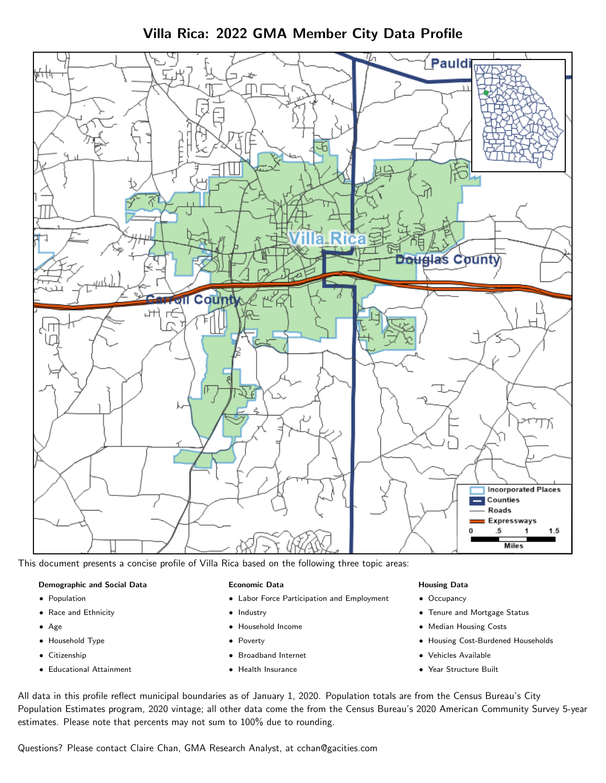Villa Rica: 2022 GMA Member City Data Profile



This document presents a concise profile of Villa Rica based on the following three topic areas:

#### Demographic and Social Data

- **•** Population
- Race and Ethnicity
- Age
- Household Type
- **Citizenship**
- Educational Attainment

#### Economic Data

- Labor Force Participation and Employment
- Industry
- Household Income
- Poverty
- Broadband Internet
- Health Insurance

#### Housing Data

- Occupancy
- Tenure and Mortgage Status
- Median Housing Costs
- Housing Cost-Burdened Households
- Vehicles Available
- Year Structure Built

All data in this profile reflect municipal boundaries as of January 1, 2020. Population totals are from the Census Bureau's City Population Estimates program, 2020 vintage; all other data come the from the Census Bureau's 2020 American Community Survey 5-year estimates. Please note that percents may not sum to 100% due to rounding.

Questions? Please contact Claire Chan, GMA Research Analyst, at [cchan@gacities.com.](mailto:cchan@gacities.com)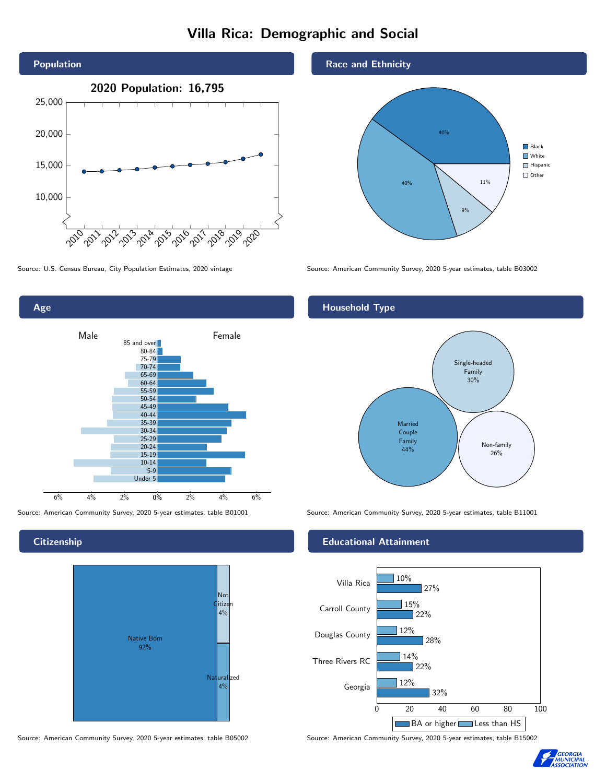# Villa Rica: Demographic and Social





**Citizenship** 



Source: American Community Survey, 2020 5-year estimates, table B05002 Source: American Community Survey, 2020 5-year estimates, table B15002

### Race and Ethnicity



Source: U.S. Census Bureau, City Population Estimates, 2020 vintage Source: American Community Survey, 2020 5-year estimates, table B03002

## Household Type



Source: American Community Survey, 2020 5-year estimates, table B01001 Source: American Community Survey, 2020 5-year estimates, table B11001

### Educational Attainment



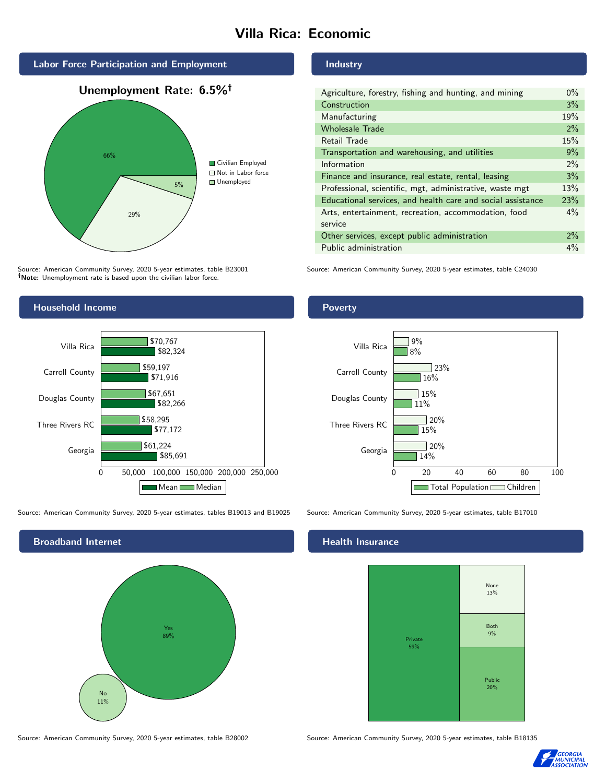# Villa Rica: Economic



Source: American Community Survey, 2020 5-year estimates, table B23001 Note: Unemployment rate is based upon the civilian labor force.

#### Household Income Georgia Three Rivers RC Douglas County Carroll County Villa Rica \$85,691 \$77,172 \$82,266 \$71,916 \$82,324 \$61,224 \$58,295 \$67,651 \$59,197 \$70,767

0 50,000 100,000 150,000 200,000 250,000

Mean Median

Source: American Community Survey, 2020 5-year estimates, tables B19013 and B19025 Source: American Community Survey, 2020 5-year estimates, table B17010



#### Industry

| Agriculture, forestry, fishing and hunting, and mining      | $0\%$ |
|-------------------------------------------------------------|-------|
| Construction                                                | 3%    |
| Manufacturing                                               | 19%   |
| <b>Wholesale Trade</b>                                      | 2%    |
| Retail Trade                                                | 15%   |
| Transportation and warehousing, and utilities               | 9%    |
| Information                                                 | $2\%$ |
| Finance and insurance, real estate, rental, leasing         | 3%    |
| Professional, scientific, mgt, administrative, waste mgt    | 13%   |
| Educational services, and health care and social assistance | 23%   |
| Arts, entertainment, recreation, accommodation, food        | $4\%$ |
| service                                                     |       |
| Other services, except public administration                | $2\%$ |
| Public administration                                       | $4\%$ |

Source: American Community Survey, 2020 5-year estimates, table C24030

## Poverty



### Health Insurance



Source: American Community Survey, 2020 5-year estimates, table B28002 Source: American Community Survey, 2020 5-year estimates, table B18135